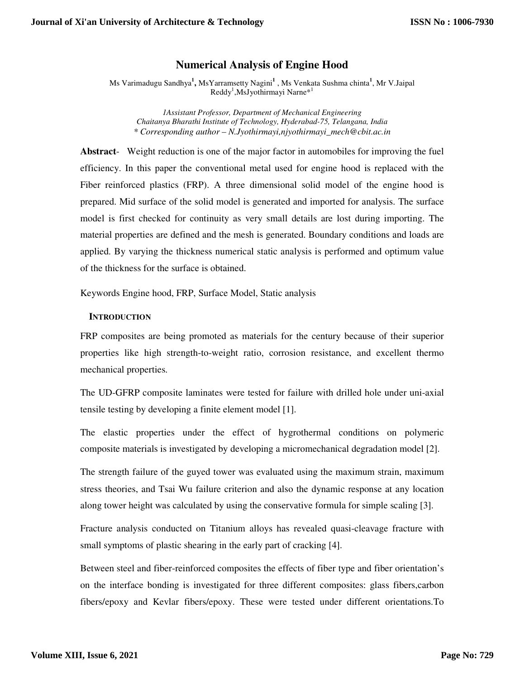## **Numerical Analysis of Engine Hood**

Ms Varimadugu Sandhya**<sup>1</sup> ,** MsYarramsetty Nagini**<sup>1</sup>** , Ms Venkata Sushma chinta**<sup>1</sup>** , Mr V.Jaipal Reddy<sup>1</sup>,MsJyothirmayi Narne\*<sup>1</sup>

*1Assistant Professor, Department of Mechanical Engineering Chaitanya Bharathi Institute of Technology, Hyderabad-75, Telangana, India \* Corresponding author – N.Jyothirmayi,njyothirmayi\_mech@cbit.ac.in* 

**Abstract**- Weight reduction is one of the major factor in automobiles for improving the fuel efficiency. In this paper the conventional metal used for engine hood is replaced with the Fiber reinforced plastics (FRP). A three dimensional solid model of the engine hood is prepared. Mid surface of the solid model is generated and imported for analysis. The surface model is first checked for continuity as very small details are lost during importing. The material properties are defined and the mesh is generated. Boundary conditions and loads are applied. By varying the thickness numerical static analysis is performed and optimum value of the thickness for the surface is obtained.

Keywords Engine hood, FRP, Surface Model, Static analysis

## **INTRODUCTION**

FRP composites are being promoted as materials for the century because of their superior properties like high strength-to-weight ratio, corrosion resistance, and excellent thermo mechanical properties.

The UD-GFRP composite laminates were tested for failure with drilled hole under uni-axial tensile testing by developing a finite element model [1].

The elastic properties under the effect of hygrothermal conditions on polymeric composite materials is investigated by developing a micromechanical degradation model [2].

The strength failure of the guyed tower was evaluated using the maximum strain, maximum stress theories, and Tsai Wu failure criterion and also the dynamic response at any location along tower height was calculated by using the conservative formula for simple scaling [3].

Fracture analysis conducted on Titanium alloys has revealed quasi-cleavage fracture with small symptoms of plastic shearing in the early part of cracking [4].

Between steel and fiber-reinforced composites the effects of fiber type and fiber orientation's on the interface bonding is investigated for three different composites: glass fibers,carbon fibers/epoxy and Kevlar fibers/epoxy. These were tested under different orientations.To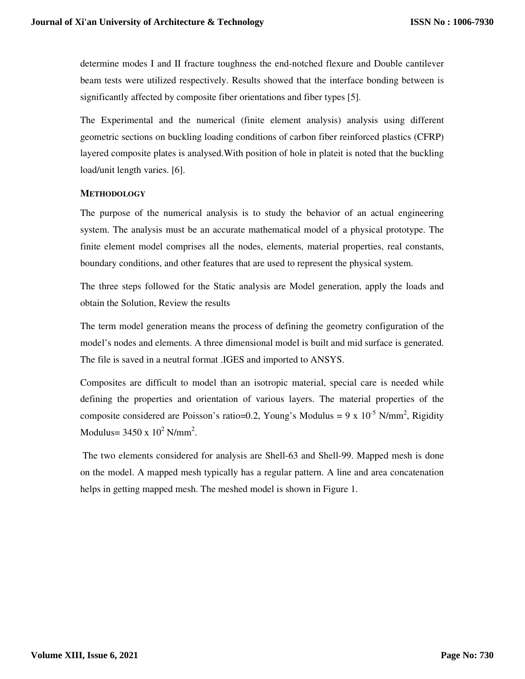determine modes I and II fracture toughness the end-notched flexure and Double cantilever beam tests were utilized respectively. Results showed that the interface bonding between is significantly affected by composite fiber orientations and fiber types [5].

The Experimental and the numerical (finite element analysis) analysis using different geometric sections on buckling loading conditions of carbon fiber reinforced plastics (CFRP) layered composite plates is analysed.With position of hole in plateit is noted that the buckling load/unit length varies. [6].

## **METHODOLOGY**

The purpose of the numerical analysis is to study the behavior of an actual engineering system. The analysis must be an accurate mathematical model of a physical prototype. The finite element model comprises all the nodes, elements, material properties, real constants, boundary conditions, and other features that are used to represent the physical system.

The three steps followed for the Static analysis are Model generation, apply the loads and obtain the Solution, Review the results

The term model generation means the process of defining the geometry configuration of the model's nodes and elements. A three dimensional model is built and mid surface is generated. The file is saved in a neutral format .IGES and imported to ANSYS.

Composites are difficult to model than an isotropic material, special care is needed while defining the properties and orientation of various layers. The material properties of the composite considered are Poisson's ratio=0.2, Young's Modulus =  $9 \times 10^{-5}$  N/mm<sup>2</sup>, Rigidity Modulus=  $3450 \times 10^2$  N/mm<sup>2</sup>.

 The two elements considered for analysis are Shell-63 and Shell-99. Mapped mesh is done on the model. A mapped mesh typically has a regular pattern. A line and area concatenation helps in getting mapped mesh. The meshed model is shown in Figure 1.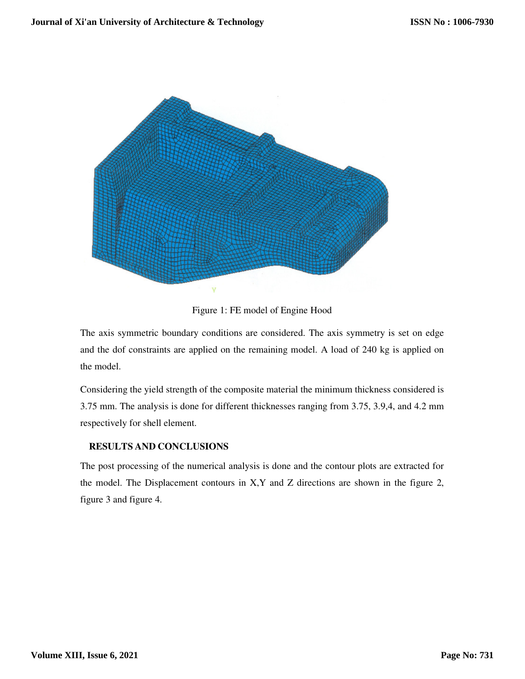

Figure 1: FE model of Engine Hood

The axis symmetric boundary conditions are considered. The axis symmetry is set on edge and the dof constraints are applied on the remaining model. A load of 240 kg is applied on the model.

Considering the yield strength of the composite material the minimum thickness considered is 3.75 mm. The analysis is done for different thicknesses ranging from 3.75, 3.9,4, and 4.2 mm respectively for shell element.

## **RESULTS AND CONCLUSIONS**

The post processing of the numerical analysis is done and the contour plots are extracted for the model. The Displacement contours in X,Y and Z directions are shown in the figure 2, figure 3 and figure 4.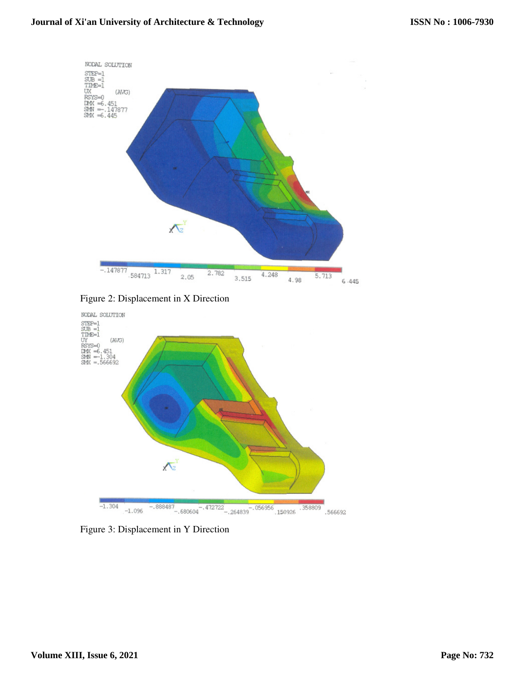

Figure 2: Displacement in X Direction



Figure 3: Displacement in Y Direction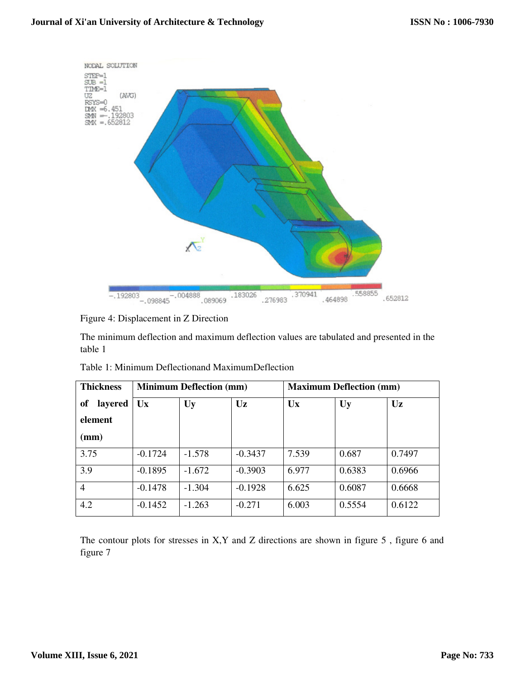

Figure 4: Displacement in Z Direction

The minimum deflection and maximum deflection values are tabulated and presented in the table 1

| <b>Thickness</b>                                       | <b>Minimum Deflection (mm)</b> |           |           | <b>Maximum Deflection (mm)</b> |        |        |
|--------------------------------------------------------|--------------------------------|-----------|-----------|--------------------------------|--------|--------|
| <sub>of</sub><br>layered<br>element<br>$(\mathbf{mm})$ | <b>Ux</b>                      | <b>Uy</b> | Uz        | Ux                             | Uy     | Uz     |
| 3.75                                                   | $-0.1724$                      | $-1.578$  | $-0.3437$ | 7.539                          | 0.687  | 0.7497 |
| 3.9                                                    | $-0.1895$                      | $-1.672$  | $-0.3903$ | 6.977                          | 0.6383 | 0.6966 |
| $\overline{4}$                                         | $-0.1478$                      | $-1.304$  | $-0.1928$ | 6.625                          | 0.6087 | 0.6668 |
| 4.2                                                    | $-0.1452$                      | $-1.263$  | $-0.271$  | 6.003                          | 0.5554 | 0.6122 |

Table 1: Minimum Deflectionand MaximumDeflection

The contour plots for stresses in X,Y and Z directions are shown in figure 5 , figure 6 and figure 7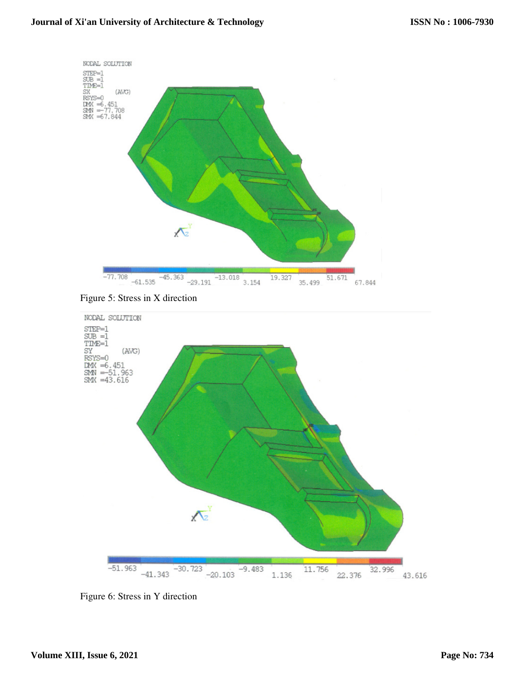





Figure 6: Stress in Y direction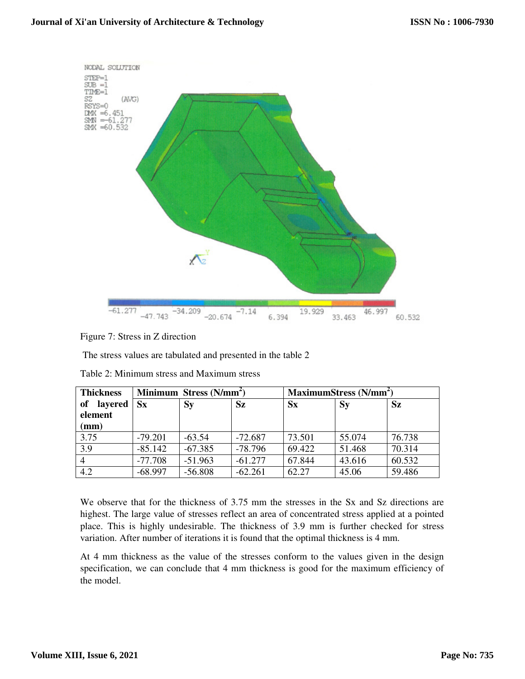

Figure 7: Stress in Z direction

The stress values are tabulated and presented in the table 2

| <b>Thickness</b> | Minimum Stress (N/mm <sup>2</sup> ) |           |           | MaximumStress (N/mm <sup>2</sup> ) |         |           |
|------------------|-------------------------------------|-----------|-----------|------------------------------------|---------|-----------|
| layered<br>of    | $S_{\bf X}$                         | $S_{V}$   | <b>Sz</b> | $S_{X}$                            | $S_{y}$ | <b>Sz</b> |
| element          |                                     |           |           |                                    |         |           |
| (mm)             |                                     |           |           |                                    |         |           |
| 3.75             | $-79.201$                           | $-63.54$  | $-72.687$ | 73.501                             | 55.074  | 76.738    |
| 3.9              | $-85.142$                           | $-67.385$ | $-78.796$ | 69.422                             | 51.468  | 70.314    |
|                  | $-77.708$                           | $-51.963$ | $-61.277$ | 67.844                             | 43.616  | 60.532    |
| 4.2              | $-68.997$                           | $-56.808$ | $-62.261$ | 62.27                              | 45.06   | 59.486    |

Table 2: Minimum stress and Maximum stress

We observe that for the thickness of 3.75 mm the stresses in the Sx and Sz directions are highest. The large value of stresses reflect an area of concentrated stress applied at a pointed place. This is highly undesirable. The thickness of 3.9 mm is further checked for stress variation. After number of iterations it is found that the optimal thickness is 4 mm.

At 4 mm thickness as the value of the stresses conform to the values given in the design specification, we can conclude that 4 mm thickness is good for the maximum efficiency of the model.